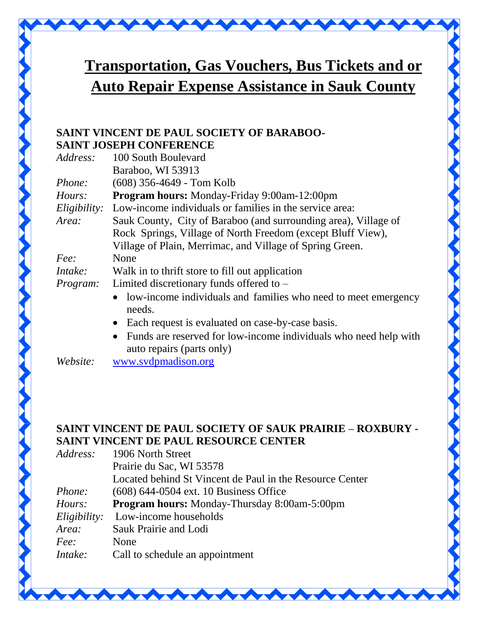

## **Transportation, Gas Vouchers, Bus Tickets and or Auto Repair Expense Assistance in Sauk County**

## **SAINT VINCENT DE PAUL SOCIETY OF BARABOO-SAINT JOSEPH CONFERENCE**

| Address:      | 100 South Boulevard                                                                                        |
|---------------|------------------------------------------------------------------------------------------------------------|
|               | Baraboo, WI 53913                                                                                          |
| <i>Phone:</i> | (608) 356-4649 - Tom Kolb                                                                                  |
| Hours:        | Program hours: Monday-Friday 9:00am-12:00pm                                                                |
|               | <i>Eligibility:</i> Low-income individuals or families in the service area:                                |
| Area:         | Sauk County, City of Baraboo (and surrounding area), Village of                                            |
|               | Rock Springs, Village of North Freedom (except Bluff View),                                                |
|               | Village of Plain, Merrimac, and Village of Spring Green.                                                   |
| Fee:          | None                                                                                                       |
| Intake:       | Walk in to thrift store to fill out application                                                            |
| Program:      | Limited discretionary funds offered to $-$                                                                 |
|               | • low-income individuals and families who need to meet emergency<br>needs.                                 |
|               | Each request is evaluated on case-by-case basis.<br>$\bullet$                                              |
|               | Funds are reserved for low-income individuals who need help with<br>$\bullet$<br>auto repairs (parts only) |

*Website:* [www.svdpmadison.org](http://www.svdpmadison.org/)

## **SAINT VINCENT DE PAUL SOCIETY OF SAUK PRAIRIE – ROXBURY - SAINT VINCENT DE PAUL RESOURCE CENTER**

| Address:     | 1906 North Street                                        |
|--------------|----------------------------------------------------------|
|              | Prairie du Sac, WI 53578                                 |
|              | Located behind St Vincent de Paul in the Resource Center |
| Phone:       | $(608)$ 644-0504 ext. 10 Business Office                 |
| Hours:       | Program hours: Monday-Thursday 8:00am-5:00pm             |
| Eligibility: | Low-income households                                    |
| Area:        | Sauk Prairie and Lodi                                    |
| Fee:         | None                                                     |
| Intake:      | Call to schedule an appointment                          |